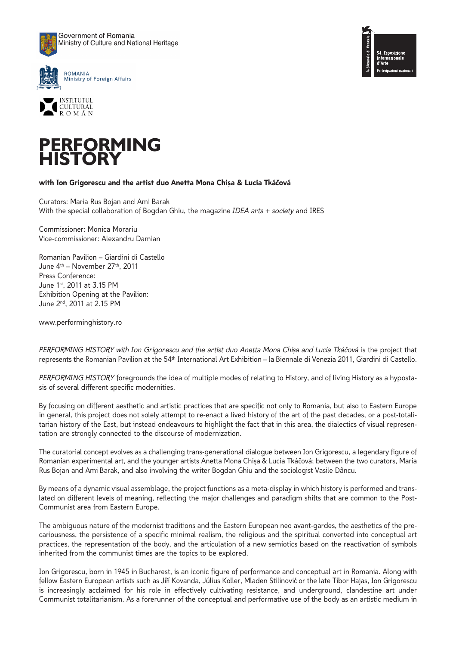









## with Ion Grigorescu and the artist duo Anetta Mona Chisa & Lucia Tkáčová

Curators: Maria Rus Bojan and Ami Barak With the special collaboration of Bogdan Ghiu, the magazine *IDEA arts* + *society* and IRES

Commissioner: Monica Morariu Vice-commissioner: Alexandru Damian

Romanian Pavilion – Giardini di Castello June 4th – November 27th, 2011 Press Conference: June 1st, 2011 at 3.15 PM Exhibition Opening at the Pavilion: June 2nd, 2011 at 2.15 PM

www.performinghistory.ro

PERFORMING HISTORY with Ion Grigorescu and the artist duo Anetta Mona Chișa and Lucia Tkáčová is the project that represents the Romanian Pavilion at the 54th International Art Exhibition – la Biennale di Venezia 2011, Giardini di Castello.

*PERFORMING HISTORY* foregrounds the idea of multiple modes of relating to History, and of living History as a hypostasis of several different specific modernities.

By focusing on different aesthetic and artistic practices that are specific not only to Romania, but also to Eastern Europe in general, this project does not solely attempt to re-enact a lived history of the art of the past decades, or a post-totalitarian history of the East, but instead endeavours to highlight the fact that in this area, the dialectics of visual representation are strongly connected to the discourse of modernization.

The curatorial concept evolves as a challenging trans-generational dialogue between Ion Grigorescu, a legendary figure of Romanian experimental art, and the younger artists Anetta Mona Chișa & Lucia Tkáčová; between the two curators, Maria Rus Bojan and Ami Barak, and also involving the writer Bogdan Ghiu and the sociologist Vasile Dâncu.

By means of a dynamic visual assemblage, the project functions as a meta-display in which history is performed and translated on different levels of meaning, reflecting the major challenges and paradigm shifts that are common to the Post-Communist area from Eastern Europe.

The ambiguous nature of the modernist traditions and the Eastern European neo avant-gardes, the aesthetics of the precariousness, the persistence of a specific minimal realism, the religious and the spiritual converted into conceptual art practices, the representation of the body, and the articulation of a new semiotics based on the reactivation of symbols inherited from the communist times are the topics to be explored.

Ion Grigorescu, born in 1945 in Bucharest, is an iconic figure of performance and conceptual art in Romania. Along with fellow Eastern European artists such as Jiñ Kovanda, Július Koller, Mladen Stilinović or the late Tibor Hajas, Ion Grigorescu is increasingly acclaimed for his role in effectively cultivating resistance, and underground, clandestine art under Communist totalitarianism. As a forerunner of the conceptual and performative use of the body as an artistic medium in